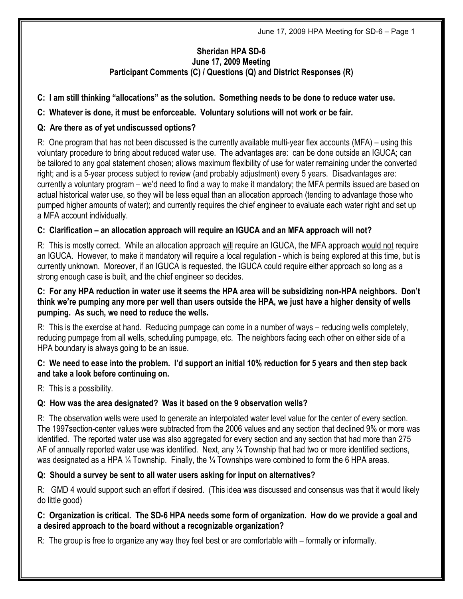# Sheridan HPA SD-6 June 17, 2009 Meeting Participant Comments (C) / Questions (Q) and District Responses (R)

#### C: I am still thinking "allocations" as the solution. Something needs to be done to reduce water use.

## C: Whatever is done, it must be enforceable. Voluntary solutions will not work or be fair.

### Q: Are there as of yet undiscussed options?

R: One program that has not been discussed is the currently available multi-year flex accounts (MFA) – using this voluntary procedure to bring about reduced water use. The advantages are: can be done outside an IGUCA; can be tailored to any goal statement chosen; allows maximum flexibility of use for water remaining under the converted right; and is a 5-year process subject to review (and probably adjustment) every 5 years. Disadvantages are: currently a voluntary program – we'd need to find a way to make it mandatory; the MFA permits issued are based on actual historical water use, so they will be less equal than an allocation approach (tending to advantage those who pumped higher amounts of water); and currently requires the chief engineer to evaluate each water right and set up a MFA account individually.

#### C: Clarification – an allocation approach will require an IGUCA and an MFA approach will not?

R: This is mostly correct. While an allocation approach will require an IGUCA, the MFA approach would not require an IGUCA. However, to make it mandatory will require a local regulation - which is being explored at this time, but is currently unknown. Moreover, if an IGUCA is requested, the IGUCA could require either approach so long as a strong enough case is built, and the chief engineer so decides.

#### C: For any HPA reduction in water use it seems the HPA area will be subsidizing non-HPA neighbors. Don't think we're pumping any more per well than users outside the HPA, we just have a higher density of wells pumping. As such, we need to reduce the wells.

R: This is the exercise at hand. Reducing pumpage can come in a number of ways – reducing wells completely, reducing pumpage from all wells, scheduling pumpage, etc. The neighbors facing each other on either side of a HPA boundary is always going to be an issue.

#### C: We need to ease into the problem. I'd support an initial 10% reduction for 5 years and then step back and take a look before continuing on.

R: This is a possibility.

# Q: How was the area designated? Was it based on the 9 observation wells?

R: The observation wells were used to generate an interpolated water level value for the center of every section. The 1997section-center values were subtracted from the 2006 values and any section that declined 9% or more was identified. The reported water use was also aggregated for every section and any section that had more than 275 AF of annually reported water use was identified. Next, any 1/4 Township that had two or more identified sections, was designated as a HPA 1/4 Township. Finally, the 1/4 Townships were combined to form the 6 HPA areas.

#### Q: Should a survey be sent to all water users asking for input on alternatives?

R: GMD 4 would support such an effort if desired. (This idea was discussed and consensus was that it would likely do little good)

#### C: Organization is critical. The SD-6 HPA needs some form of organization. How do we provide a goal and a desired approach to the board without a recognizable organization?

R: The group is free to organize any way they feel best or are comfortable with – formally or informally.